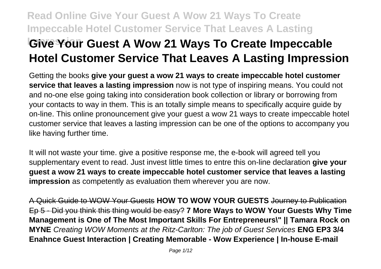# **Read Online Give Your Guest A Wow 21 Ways To Create Impeccable Hotel Customer Service That Leaves A Lasting IGIVE Your Guest A Wow 21 Ways To Create Impeccable Hotel Customer Service That Leaves A Lasting Impression**

Getting the books **give your guest a wow 21 ways to create impeccable hotel customer service that leaves a lasting impression** now is not type of inspiring means. You could not and no-one else going taking into consideration book collection or library or borrowing from your contacts to way in them. This is an totally simple means to specifically acquire guide by on-line. This online pronouncement give your guest a wow 21 ways to create impeccable hotel customer service that leaves a lasting impression can be one of the options to accompany you like having further time.

It will not waste your time. give a positive response me, the e-book will agreed tell you supplementary event to read. Just invest little times to entre this on-line declaration **give your guest a wow 21 ways to create impeccable hotel customer service that leaves a lasting impression** as competently as evaluation them wherever you are now.

A Quick Guide to WOW Your Guests **HOW TO WOW YOUR GUESTS** Journey to Publication Ep 5 - Did you think this thing would be easy? **7 More Ways to WOW Your Guests Why Time Management is One of The Most Important Skills For Entrepreneurs\" || Tamara Rock on MYNE** Creating WOW Moments at the Ritz-Carlton: The job of Guest Services **ENG EP3 3/4 Enahnce Guest Interaction | Creating Memorable - Wow Experience | In-house E-mail**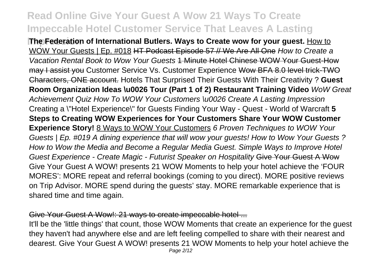**The Federation of International Butlers. Ways to Create wow for your guest.** How to WOW Your Guests | Ep. #018 HT Podcast Episode 57 // We Are All One How to Create a Vacation Rental Book to Wow Your Guests 1 Minute Hotel Chinese WOW Your Guest-How may I assist you Customer Service Vs. Customer Experience Wow BFA 8.0 level trick-TWO Characters, ONE account. Hotels That Surprised Their Guests With Their Creativity ? **Guest Room Organization Ideas \u0026 Tour (Part 1 of 2) Restaurant Training Video** WoW Great Achievement Quiz How To WOW Your Customers \u0026 Create A Lasting Impression Creating a \"Hotel Experience\" for Guests Finding Your Way - Quest - World of Warcraft **5 Steps to Creating WOW Experiences for Your Customers Share Your WOW Customer Experience Story!** 8 Ways to WOW Your Customers 6 Proven Techniques to WOW Your Guests | Ep. #019 A dining experience that will wow your guests! How to Wow Your Guests ? How to Wow the Media and Become a Regular Media Guest. Simple Ways to Improve Hotel Guest Experience - Create Magic - Futurist Speaker on Hospitality Give Your Guest A Wow Give Your Guest A WOW! presents 21 WOW Moments to help your hotel achieve the 'FOUR MORES': MORE repeat and referral bookings (coming to you direct). MORE positive reviews on Trip Advisor. MORE spend during the guests' stay. MORE remarkable experience that is shared time and time again.

### Give Your Guest A Wow!: 21 ways to create impeccable hotel ...

It'll be the 'little things' that count, those WOW Moments that create an experience for the guest they haven't had anywhere else and are left feeling compelled to share with their nearest and dearest. Give Your Guest A WOW! presents 21 WOW Moments to help your hotel achieve the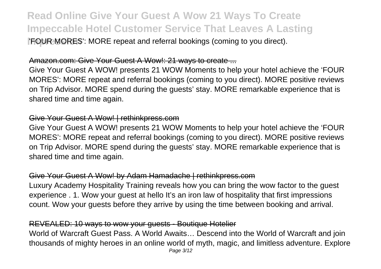**IFOUR MORES**': MORE repeat and referral bookings (coming to you direct).

#### Amazon.com: Give Your Guest A Wow!: 21 ways to create ...

Give Your Guest A WOW! presents 21 WOW Moments to help your hotel achieve the 'FOUR MORES': MORE repeat and referral bookings (coming to you direct). MORE positive reviews on Trip Advisor. MORE spend during the guests' stay. MORE remarkable experience that is shared time and time again.

#### Give Your Guest A Wow! | rethinkpress.com

Give Your Guest A WOW! presents 21 WOW Moments to help your hotel achieve the 'FOUR MORES': MORE repeat and referral bookings (coming to you direct). MORE positive reviews on Trip Advisor. MORE spend during the guests' stay. MORE remarkable experience that is shared time and time again.

### Give Your Guest A Wow! by Adam Hamadache | rethinkpress.com

Luxury Academy Hospitality Training reveals how you can bring the wow factor to the guest experience . 1. Wow your guest at hello It's an iron law of hospitality that first impressions count. Wow your guests before they arrive by using the time between booking and arrival.

### REVEALED: 10 ways to wow your guests - Boutique Hotelier

World of Warcraft Guest Pass. A World Awaits… Descend into the World of Warcraft and join thousands of mighty heroes in an online world of myth, magic, and limitless adventure. Explore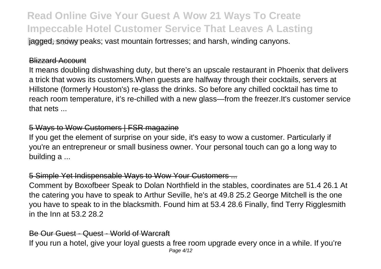*Iagged, snowy peaks; vast mountain fortresses; and harsh, winding canyons.* 

#### Blizzard Account

It means doubling dishwashing duty, but there's an upscale restaurant in Phoenix that delivers a trick that wows its customers.When guests are halfway through their cocktails, servers at Hillstone (formerly Houston's) re-glass the drinks. So before any chilled cocktail has time to reach room temperature, it's re-chilled with a new glass—from the freezer.It's customer service that nets ...

#### 5 Ways to Wow Customers | FSR magazine

If you get the element of surprise on your side, it's easy to wow a customer. Particularly if you're an entrepreneur or small business owner. Your personal touch can go a long way to building a ...

### 5 Simple Yet Indispensable Ways to Wow Your Customers ...

Comment by Boxofbeer Speak to Dolan Northfield in the stables, coordinates are 51.4 26.1 At the catering you have to speak to Arthur Seville, he's at 49.8 25.2 George Mitchell is the one you have to speak to in the blacksmith. Found him at 53.4 28.6 Finally, find Terry Rigglesmith in the Inn at 53.2 28.2

#### Be Our Guest - Quest - World of Warcraft

If you run a hotel, give your loyal guests a free room upgrade every once in a while. If you're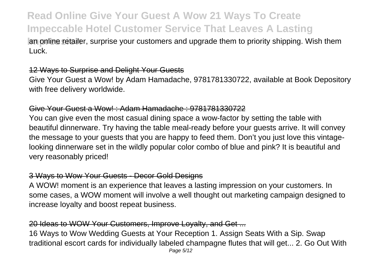**Igm online retailer, surprise your customers and upgrade them to priority shipping. Wish them ignoral them ignor** Luck.

### 12 Ways to Surprise and Delight Your Guests

Give Your Guest a Wow! by Adam Hamadache, 9781781330722, available at Book Depository with free delivery worldwide.

#### Give Your Guest a Wow! : Adam Hamadache : 9781781330722

You can give even the most casual dining space a wow-factor by setting the table with beautiful dinnerware. Try having the table meal-ready before your guests arrive. It will convey the message to your guests that you are happy to feed them. Don't you just love this vintagelooking dinnerware set in the wildly popular color combo of blue and pink? It is beautiful and very reasonably priced!

### 3 Ways to Wow Your Guests - Decor Gold Designs

A WOW! moment is an experience that leaves a lasting impression on your customers. In some cases, a WOW moment will involve a well thought out marketing campaign designed to increase loyalty and boost repeat business.

### 20 Ideas to WOW Your Customers, Improve Loyalty, and Get ...

16 Ways to Wow Wedding Guests at Your Reception 1. Assign Seats With a Sip. Swap traditional escort cards for individually labeled champagne flutes that will get... 2. Go Out With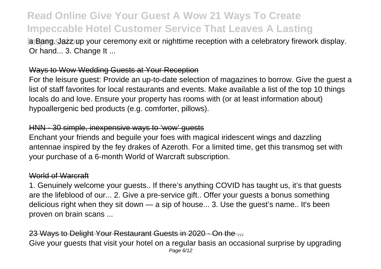**Ia Bang. Jazz up your ceremony exit or nighttime reception with a celebratory firework display.** Or hand... 3. Change It ...

### Ways to Wow Wedding Guests at Your Reception

For the leisure guest: Provide an up-to-date selection of magazines to borrow. Give the guest a list of staff favorites for local restaurants and events. Make available a list of the top 10 things locals do and love. Ensure your property has rooms with (or at least information about) hypoallergenic bed products (e.g. comforter, pillows).

#### HNN - 30 simple, inexpensive ways to 'wow' guests

Enchant your friends and beguile your foes with magical iridescent wings and dazzling antennae inspired by the fey drakes of Azeroth. For a limited time, get this transmog set with your purchase of a 6-month World of Warcraft subscription.

#### World of Warcraft

1. Genuinely welcome your guests.. If there's anything COVID has taught us, it's that guests are the lifeblood of our... 2. Give a pre-service gift.. Offer your guests a bonus something delicious right when they sit down — a sip of house... 3. Use the guest's name.. It's been proven on brain scans ...

### 23 Ways to Delight Your Restaurant Guests in 2020 - On the ...

Give your guests that visit your hotel on a regular basis an occasional surprise by upgrading Page 6/12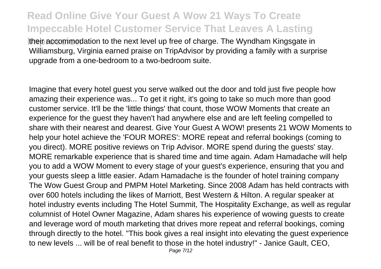**Itheir accommodation to the next level up free of charge. The Wyndham Kingsgate in** Williamsburg, Virginia earned praise on TripAdvisor by providing a family with a surprise upgrade from a one-bedroom to a two-bedroom suite.

Imagine that every hotel guest you serve walked out the door and told just five people how amazing their experience was... To get it right, it's going to take so much more than good customer service. It'll be the 'little things' that count, those WOW Moments that create an experience for the guest they haven't had anywhere else and are left feeling compelled to share with their nearest and dearest. Give Your Guest A WOW! presents 21 WOW Moments to help your hotel achieve the 'FOUR MORES': MORE repeat and referral bookings (coming to you direct). MORE positive reviews on Trip Advisor. MORE spend during the guests' stay. MORE remarkable experience that is shared time and time again. Adam Hamadache will help you to add a WOW Moment to every stage of your guest's experience, ensuring that you and your guests sleep a little easier. Adam Hamadache is the founder of hotel training company The Wow Guest Group and PMPM Hotel Marketing. Since 2008 Adam has held contracts with over 600 hotels including the likes of Marriott, Best Western & Hilton. A regular speaker at hotel industry events including The Hotel Summit, The Hospitality Exchange, as well as regular columnist of Hotel Owner Magazine, Adam shares his experience of wowing guests to create and leverage word of mouth marketing that drives more repeat and referral bookings, coming through directly to the hotel. "This book gives a real insight into elevating the guest experience to new levels ... will be of real benefit to those in the hotel industry!" - Janice Gault, CEO,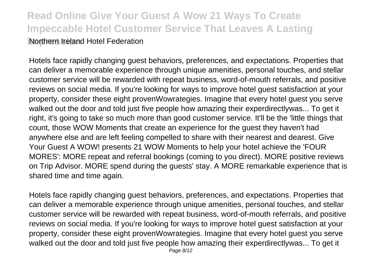**Read Online Give Your Guest A Wow 21 Ways To Create Impeccable Hotel Customer Service That Leaves A Lasting INorthern Ireland Hotel Federation** 

Hotels face rapidly changing guest behaviors, preferences, and expectations. Properties that can deliver a memorable experience through unique amenities, personal touches, and stellar customer service will be rewarded with repeat business, word-of-mouth referrals, and positive reviews on social media. If you're looking for ways to improve hotel guest satisfaction at your property, consider these eight provenWowrategies. Imagine that every hotel guest you serve walked out the door and told just five people how amazing their experdirectlywas... To get it right, it's going to take so much more than good customer service. It'll be the 'little things that count, those WOW Moments that create an experience for the guest they haven't had anywhere else and are left feeling compelled to share with their nearest and dearest. Give Your Guest A WOW! presents 21 WOW Moments to help your hotel achieve the 'FOUR MORES': MORE repeat and referral bookings (coming to you direct). MORE positive reviews on Trip Advisor. MORE spend during the guests' stay. A MORE remarkable experience that is shared time and time again.

Hotels face rapidly changing guest behaviors, preferences, and expectations. Properties that can deliver a memorable experience through unique amenities, personal touches, and stellar customer service will be rewarded with repeat business, word-of-mouth referrals, and positive reviews on social media. If you're looking for ways to improve hotel guest satisfaction at your property, consider these eight provenWowrategies. Imagine that every hotel guest you serve walked out the door and told just five people how amazing their experdirectlywas... To get it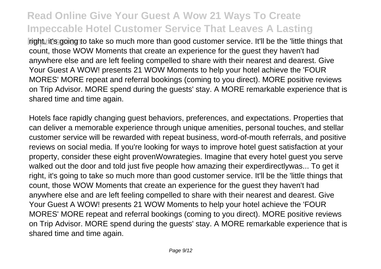**Iright, it's going to take so much more than good customer service. It'll be the 'little things that** count, those WOW Moments that create an experience for the guest they haven't had anywhere else and are left feeling compelled to share with their nearest and dearest. Give Your Guest A WOW! presents 21 WOW Moments to help your hotel achieve the 'FOUR MORES' MORE repeat and referral bookings (coming to you direct). MORE positive reviews on Trip Advisor. MORE spend during the guests' stay. A MORE remarkable experience that is shared time and time again.

Hotels face rapidly changing guest behaviors, preferences, and expectations. Properties that can deliver a memorable experience through unique amenities, personal touches, and stellar customer service will be rewarded with repeat business, word-of-mouth referrals, and positive reviews on social media. If you're looking for ways to improve hotel guest satisfaction at your property, consider these eight provenWowrategies. Imagine that every hotel guest you serve walked out the door and told just five people how amazing their experdirectlywas... To get it right, it's going to take so much more than good customer service. It'll be the 'little things that count, those WOW Moments that create an experience for the guest they haven't had anywhere else and are left feeling compelled to share with their nearest and dearest. Give Your Guest A WOW! presents 21 WOW Moments to help your hotel achieve the 'FOUR MORES' MORE repeat and referral bookings (coming to you direct). MORE positive reviews on Trip Advisor. MORE spend during the guests' stay. A MORE remarkable experience that is shared time and time again.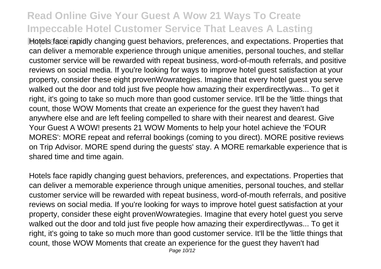**Hotels face rapidly changing guest behaviors, preferences, and expectations. Properties that** can deliver a memorable experience through unique amenities, personal touches, and stellar customer service will be rewarded with repeat business, word-of-mouth referrals, and positive reviews on social media. If you're looking for ways to improve hotel guest satisfaction at your property, consider these eight provenWowrategies. Imagine that every hotel guest you serve walked out the door and told just five people how amazing their experdirectlywas... To get it right, it's going to take so much more than good customer service. It'll be the 'little things that count, those WOW Moments that create an experience for the guest they haven't had anywhere else and are left feeling compelled to share with their nearest and dearest. Give Your Guest A WOW! presents 21 WOW Moments to help your hotel achieve the 'FOUR MORES': MORE repeat and referral bookings (coming to you direct). MORE positive reviews on Trip Advisor. MORE spend during the guests' stay. A MORE remarkable experience that is shared time and time again.

Hotels face rapidly changing guest behaviors, preferences, and expectations. Properties that can deliver a memorable experience through unique amenities, personal touches, and stellar customer service will be rewarded with repeat business, word-of-mouth referrals, and positive reviews on social media. If you're looking for ways to improve hotel guest satisfaction at your property, consider these eight provenWowrategies. Imagine that every hotel guest you serve walked out the door and told just five people how amazing their experdirectlywas... To get it right, it's going to take so much more than good customer service. It'll be the 'little things that count, those WOW Moments that create an experience for the guest they haven't had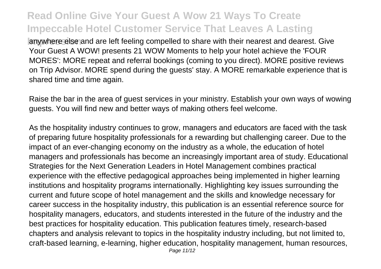**Ignumbere else and are left feeling compelled to share with their nearest and dearest. Give** Your Guest A WOW! presents 21 WOW Moments to help your hotel achieve the 'FOUR MORES': MORE repeat and referral bookings (coming to you direct). MORE positive reviews on Trip Advisor. MORE spend during the guests' stay. A MORE remarkable experience that is shared time and time again.

Raise the bar in the area of guest services in your ministry. Establish your own ways of wowing guests. You will find new and better ways of making others feel welcome.

As the hospitality industry continues to grow, managers and educators are faced with the task of preparing future hospitality professionals for a rewarding but challenging career. Due to the impact of an ever-changing economy on the industry as a whole, the education of hotel managers and professionals has become an increasingly important area of study. Educational Strategies for the Next Generation Leaders in Hotel Management combines practical experience with the effective pedagogical approaches being implemented in higher learning institutions and hospitality programs internationally. Highlighting key issues surrounding the current and future scope of hotel management and the skills and knowledge necessary for career success in the hospitality industry, this publication is an essential reference source for hospitality managers, educators, and students interested in the future of the industry and the best practices for hospitality education. This publication features timely, research-based chapters and analysis relevant to topics in the hospitality industry including, but not limited to, craft-based learning, e-learning, higher education, hospitality management, human resources,